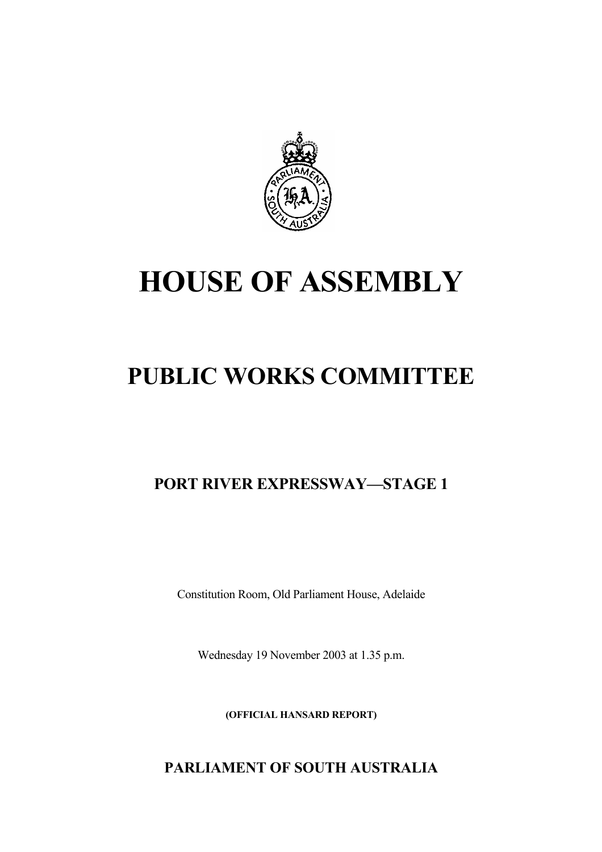

# **HOUSE OF ASSEMBLY**

## **PUBLIC WORKS COMMITTEE**

**PORT RIVER EXPRESSWAY—STAGE 1**

Constitution Room, Old Parliament House, Adelaide

Wednesday 19 November 2003 at 1.35 p.m.

**(OFFICIAL HANSARD REPORT)** 

**PARLIAMENT OF SOUTH AUSTRALIA**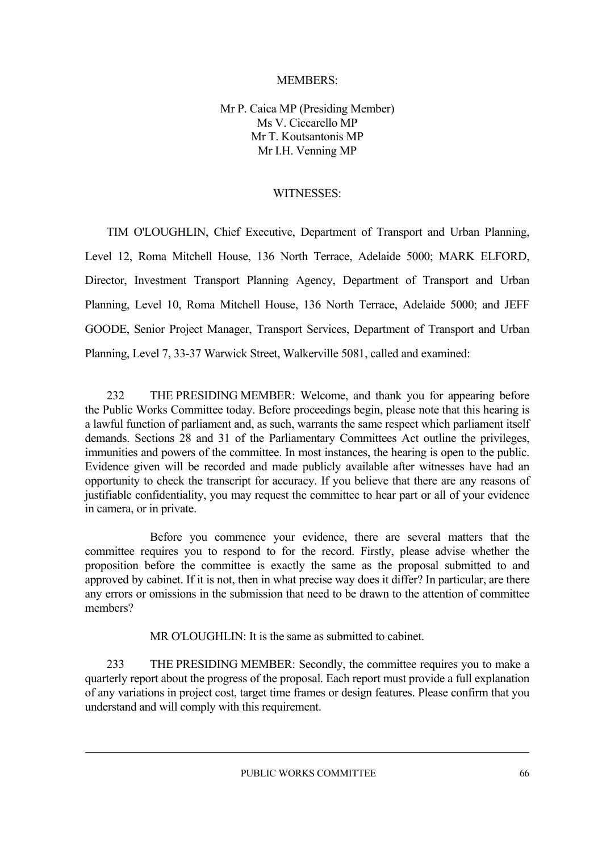#### MEMBERS:

Mr P. Caica MP (Presiding Member) Ms V. Ciccarello MP Mr T. Koutsantonis MP Mr I.H. Venning MP

#### WITNESSES:

TIM O'LOUGHLIN, Chief Executive, Department of Transport and Urban Planning, Level 12, Roma Mitchell House, 136 North Terrace, Adelaide 5000; MARK ELFORD, Director, Investment Transport Planning Agency, Department of Transport and Urban Planning, Level 10, Roma Mitchell House, 136 North Terrace, Adelaide 5000; and JEFF GOODE, Senior Project Manager, Transport Services, Department of Transport and Urban Planning, Level 7, 33-37 Warwick Street, Walkerville 5081, called and examined:

232 THE PRESIDING MEMBER: Welcome, and thank you for appearing before the Public Works Committee today. Before proceedings begin, please note that this hearing is a lawful function of parliament and, as such, warrants the same respect which parliament itself demands. Sections 28 and 31 of the Parliamentary Committees Act outline the privileges, immunities and powers of the committee. In most instances, the hearing is open to the public. Evidence given will be recorded and made publicly available after witnesses have had an opportunity to check the transcript for accuracy. If you believe that there are any reasons of justifiable confidentiality, you may request the committee to hear part or all of your evidence in camera, or in private.

Before you commence your evidence, there are several matters that the committee requires you to respond to for the record. Firstly, please advise whether the proposition before the committee is exactly the same as the proposal submitted to and approved by cabinet. If it is not, then in what precise way does it differ? In particular, are there any errors or omissions in the submission that need to be drawn to the attention of committee members?

MR O'LOUGHLIN: It is the same as submitted to cabinet.

233 THE PRESIDING MEMBER: Secondly, the committee requires you to make a quarterly report about the progress of the proposal. Each report must provide a full explanation of any variations in project cost, target time frames or design features. Please confirm that you understand and will comply with this requirement.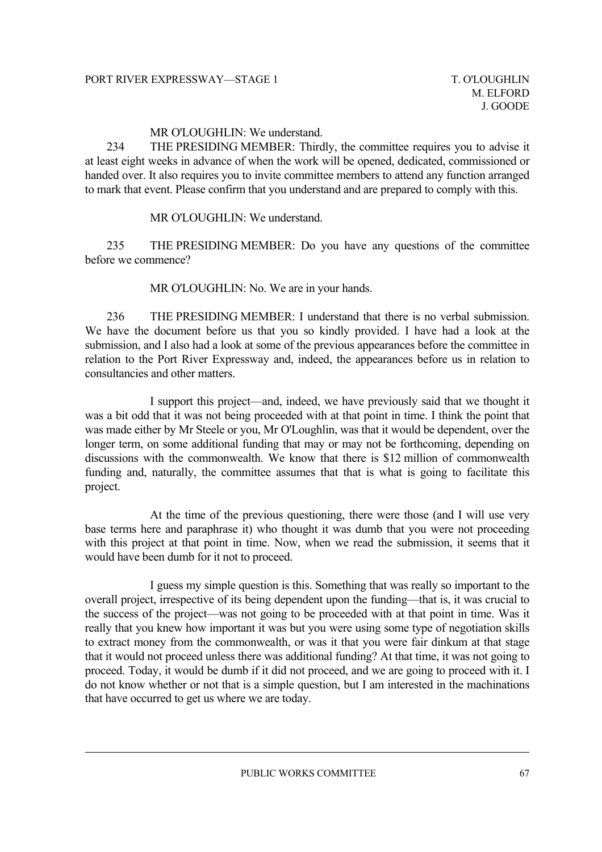MR O'LOUGHLIN: We understand.

234 THE PRESIDING MEMBER: Thirdly, the committee requires you to advise it at least eight weeks in advance of when the work will be opened, dedicated, commissioned or handed over. It also requires you to invite committee members to attend any function arranged to mark that event. Please confirm that you understand and are prepared to comply with this.

MR O'LOUGHLIN: We understand.

235 THE PRESIDING MEMBER: Do you have any questions of the committee before we commence?

MR O'LOUGHLIN: No. We are in your hands.

236 THE PRESIDING MEMBER: I understand that there is no verbal submission. We have the document before us that you so kindly provided. I have had a look at the submission, and I also had a look at some of the previous appearances before the committee in relation to the Port River Expressway and, indeed, the appearances before us in relation to consultancies and other matters.

I support this project—and, indeed, we have previously said that we thought it was a bit odd that it was not being proceeded with at that point in time. I think the point that was made either by Mr Steele or you, Mr O'Loughlin, was that it would be dependent, over the longer term, on some additional funding that may or may not be forthcoming, depending on discussions with the commonwealth. We know that there is \$12 million of commonwealth funding and, naturally, the committee assumes that that is what is going to facilitate this project.

At the time of the previous questioning, there were those (and I will use very base terms here and paraphrase it) who thought it was dumb that you were not proceeding with this project at that point in time. Now, when we read the submission, it seems that it would have been dumb for it not to proceed.

I guess my simple question is this. Something that was really so important to the overall project, irrespective of its being dependent upon the funding—that is, it was crucial to the success of the project—was not going to be proceeded with at that point in time. Was it really that you knew how important it was but you were using some type of negotiation skills to extract money from the commonwealth, or was it that you were fair dinkum at that stage that it would not proceed unless there was additional funding? At that time, it was not going to proceed. Today, it would be dumb if it did not proceed, and we are going to proceed with it. I do not know whether or not that is a simple question, but I am interested in the machinations that have occurred to get us where we are today.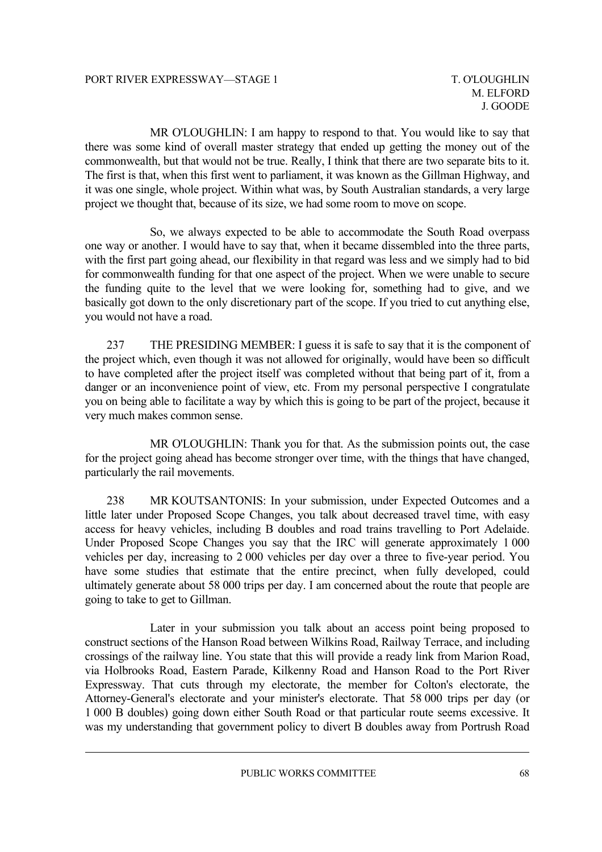MR O'LOUGHLIN: I am happy to respond to that. You would like to say that there was some kind of overall master strategy that ended up getting the money out of the commonwealth, but that would not be true. Really, I think that there are two separate bits to it. The first is that, when this first went to parliament, it was known as the Gillman Highway, and it was one single, whole project. Within what was, by South Australian standards, a very large project we thought that, because of its size, we had some room to move on scope.

So, we always expected to be able to accommodate the South Road overpass one way or another. I would have to say that, when it became dissembled into the three parts, with the first part going ahead, our flexibility in that regard was less and we simply had to bid for commonwealth funding for that one aspect of the project. When we were unable to secure the funding quite to the level that we were looking for, something had to give, and we basically got down to the only discretionary part of the scope. If you tried to cut anything else, you would not have a road.

237 THE PRESIDING MEMBER: I guess it is safe to say that it is the component of the project which, even though it was not allowed for originally, would have been so difficult to have completed after the project itself was completed without that being part of it, from a danger or an inconvenience point of view, etc. From my personal perspective I congratulate you on being able to facilitate a way by which this is going to be part of the project, because it very much makes common sense.

MR O'LOUGHLIN: Thank you for that. As the submission points out, the case for the project going ahead has become stronger over time, with the things that have changed, particularly the rail movements.

238 MR KOUTSANTONIS: In your submission, under Expected Outcomes and a little later under Proposed Scope Changes, you talk about decreased travel time, with easy access for heavy vehicles, including B doubles and road trains travelling to Port Adelaide. Under Proposed Scope Changes you say that the IRC will generate approximately 1 000 vehicles per day, increasing to 2 000 vehicles per day over a three to five-year period. You have some studies that estimate that the entire precinct, when fully developed, could ultimately generate about 58 000 trips per day. I am concerned about the route that people are going to take to get to Gillman.

Later in your submission you talk about an access point being proposed to construct sections of the Hanson Road between Wilkins Road, Railway Terrace, and including crossings of the railway line. You state that this will provide a ready link from Marion Road, via Holbrooks Road, Eastern Parade, Kilkenny Road and Hanson Road to the Port River Expressway. That cuts through my electorate, the member for Colton's electorate, the Attorney-General's electorate and your minister's electorate. That 58 000 trips per day (or 1 000 B doubles) going down either South Road or that particular route seems excessive. It was my understanding that government policy to divert B doubles away from Portrush Road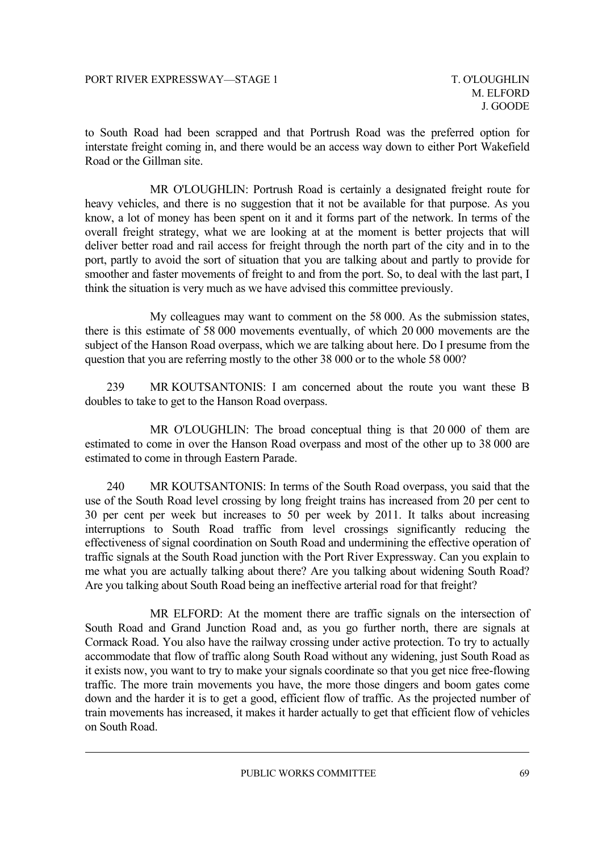to South Road had been scrapped and that Portrush Road was the preferred option for interstate freight coming in, and there would be an access way down to either Port Wakefield Road or the Gillman site.

MR O'LOUGHLIN: Portrush Road is certainly a designated freight route for heavy vehicles, and there is no suggestion that it not be available for that purpose. As you know, a lot of money has been spent on it and it forms part of the network. In terms of the overall freight strategy, what we are looking at at the moment is better projects that will deliver better road and rail access for freight through the north part of the city and in to the port, partly to avoid the sort of situation that you are talking about and partly to provide for smoother and faster movements of freight to and from the port. So, to deal with the last part, I think the situation is very much as we have advised this committee previously.

My colleagues may want to comment on the 58 000. As the submission states, there is this estimate of 58 000 movements eventually, of which 20 000 movements are the subject of the Hanson Road overpass, which we are talking about here. Do I presume from the question that you are referring mostly to the other 38 000 or to the whole 58 000?

239 MR KOUTSANTONIS: I am concerned about the route you want these B doubles to take to get to the Hanson Road overpass.

MR O'LOUGHLIN: The broad conceptual thing is that 20 000 of them are estimated to come in over the Hanson Road overpass and most of the other up to 38 000 are estimated to come in through Eastern Parade.

240 MR KOUTSANTONIS: In terms of the South Road overpass, you said that the use of the South Road level crossing by long freight trains has increased from 20 per cent to 30 per cent per week but increases to 50 per week by 2011. It talks about increasing interruptions to South Road traffic from level crossings significantly reducing the effectiveness of signal coordination on South Road and undermining the effective operation of traffic signals at the South Road junction with the Port River Expressway. Can you explain to me what you are actually talking about there? Are you talking about widening South Road? Are you talking about South Road being an ineffective arterial road for that freight?

MR ELFORD: At the moment there are traffic signals on the intersection of South Road and Grand Junction Road and, as you go further north, there are signals at Cormack Road. You also have the railway crossing under active protection. To try to actually accommodate that flow of traffic along South Road without any widening, just South Road as it exists now, you want to try to make your signals coordinate so that you get nice free-flowing traffic. The more train movements you have, the more those dingers and boom gates come down and the harder it is to get a good, efficient flow of traffic. As the projected number of train movements has increased, it makes it harder actually to get that efficient flow of vehicles on South Road.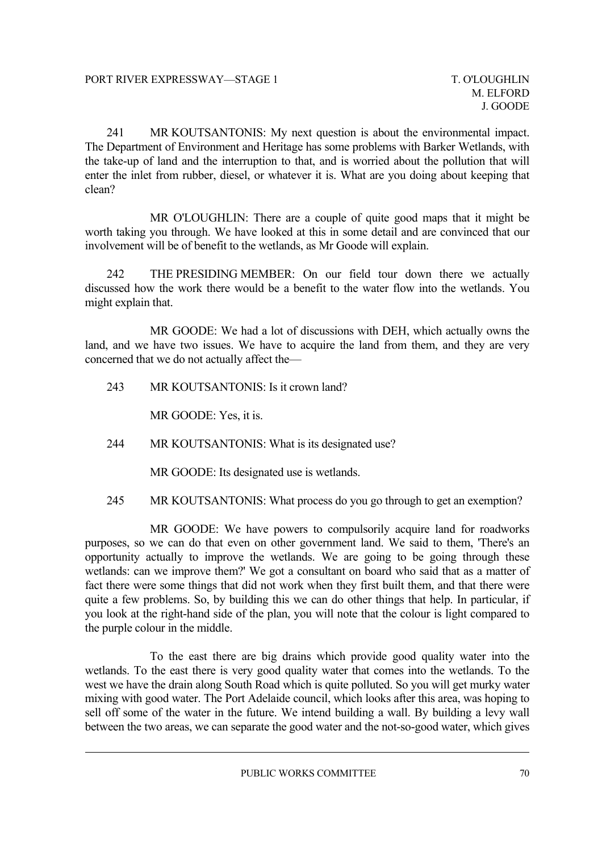241 MR KOUTSANTONIS: My next question is about the environmental impact. The Department of Environment and Heritage has some problems with Barker Wetlands, with the take-up of land and the interruption to that, and is worried about the pollution that will enter the inlet from rubber, diesel, or whatever it is. What are you doing about keeping that clean?

MR O'LOUGHLIN: There are a couple of quite good maps that it might be worth taking you through. We have looked at this in some detail and are convinced that our involvement will be of benefit to the wetlands, as Mr Goode will explain.

242 THE PRESIDING MEMBER: On our field tour down there we actually discussed how the work there would be a benefit to the water flow into the wetlands. You might explain that.

MR GOODE: We had a lot of discussions with DEH, which actually owns the land, and we have two issues. We have to acquire the land from them, and they are very concerned that we do not actually affect the—

243 MR KOUTSANTONIS: Is it crown land?

MR GOODE: Yes, it is.

244 MR KOUTSANTONIS: What is its designated use?

MR GOODE: Its designated use is wetlands.

245 MR KOUTSANTONIS: What process do you go through to get an exemption?

MR GOODE: We have powers to compulsorily acquire land for roadworks purposes, so we can do that even on other government land. We said to them, 'There's an opportunity actually to improve the wetlands. We are going to be going through these wetlands: can we improve them?' We got a consultant on board who said that as a matter of fact there were some things that did not work when they first built them, and that there were quite a few problems. So, by building this we can do other things that help. In particular, if you look at the right-hand side of the plan, you will note that the colour is light compared to the purple colour in the middle.

To the east there are big drains which provide good quality water into the wetlands. To the east there is very good quality water that comes into the wetlands. To the west we have the drain along South Road which is quite polluted. So you will get murky water mixing with good water. The Port Adelaide council, which looks after this area, was hoping to sell off some of the water in the future. We intend building a wall. By building a levy wall between the two areas, we can separate the good water and the not-so-good water, which gives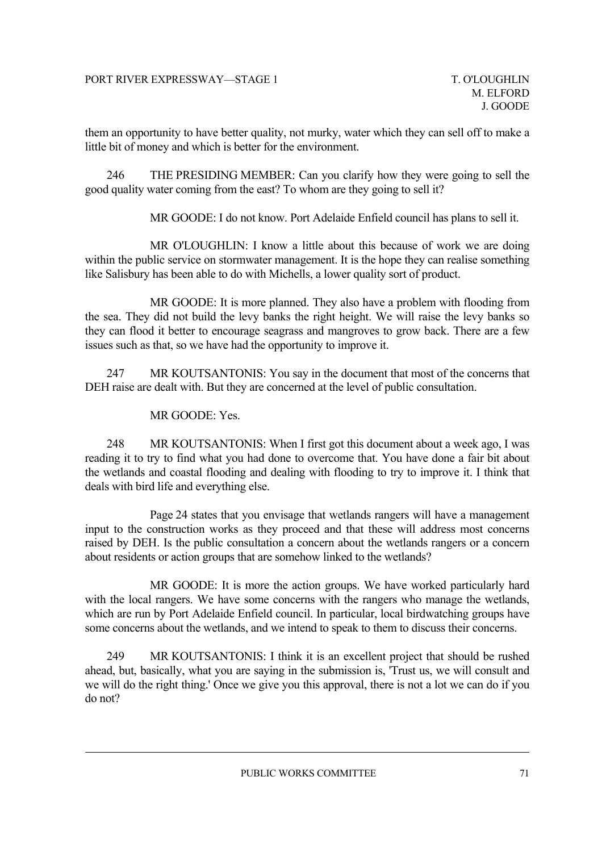them an opportunity to have better quality, not murky, water which they can sell off to make a little bit of money and which is better for the environment.

246 THE PRESIDING MEMBER: Can you clarify how they were going to sell the good quality water coming from the east? To whom are they going to sell it?

MR GOODE: I do not know. Port Adelaide Enfield council has plans to sell it.

MR O'LOUGHLIN: I know a little about this because of work we are doing within the public service on stormwater management. It is the hope they can realise something like Salisbury has been able to do with Michells, a lower quality sort of product.

MR GOODE: It is more planned. They also have a problem with flooding from the sea. They did not build the levy banks the right height. We will raise the levy banks so they can flood it better to encourage seagrass and mangroves to grow back. There are a few issues such as that, so we have had the opportunity to improve it.

247 MR KOUTSANTONIS: You say in the document that most of the concerns that DEH raise are dealt with. But they are concerned at the level of public consultation.

MR GOODE: Yes.

248 MR KOUTSANTONIS: When I first got this document about a week ago, I was reading it to try to find what you had done to overcome that. You have done a fair bit about the wetlands and coastal flooding and dealing with flooding to try to improve it. I think that deals with bird life and everything else.

Page 24 states that you envisage that wetlands rangers will have a management input to the construction works as they proceed and that these will address most concerns raised by DEH. Is the public consultation a concern about the wetlands rangers or a concern about residents or action groups that are somehow linked to the wetlands?

MR GOODE: It is more the action groups. We have worked particularly hard with the local rangers. We have some concerns with the rangers who manage the wetlands, which are run by Port Adelaide Enfield council. In particular, local birdwatching groups have some concerns about the wetlands, and we intend to speak to them to discuss their concerns.

249 MR KOUTSANTONIS: I think it is an excellent project that should be rushed ahead, but, basically, what you are saying in the submission is, 'Trust us, we will consult and we will do the right thing.' Once we give you this approval, there is not a lot we can do if you do not?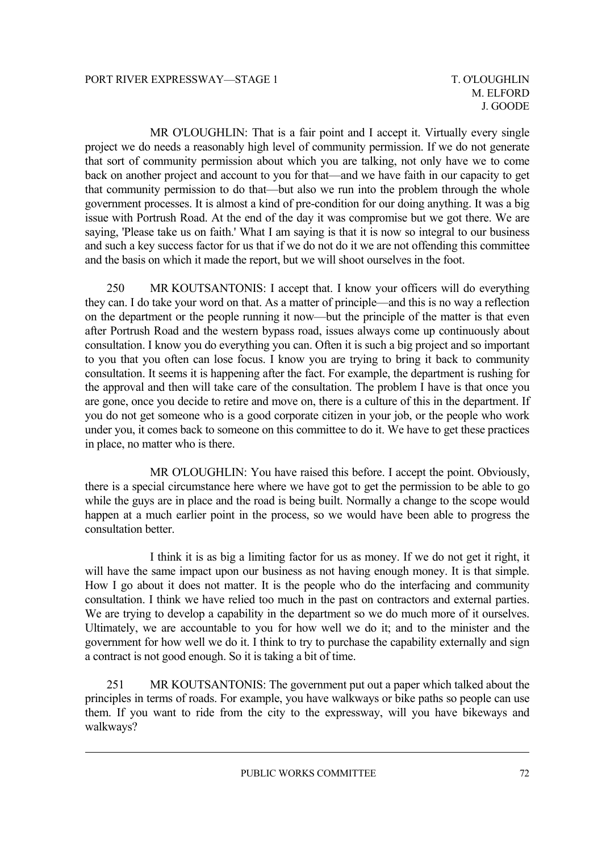MR O'LOUGHLIN: That is a fair point and I accept it. Virtually every single project we do needs a reasonably high level of community permission. If we do not generate that sort of community permission about which you are talking, not only have we to come back on another project and account to you for that—and we have faith in our capacity to get that community permission to do that—but also we run into the problem through the whole government processes. It is almost a kind of pre-condition for our doing anything. It was a big issue with Portrush Road. At the end of the day it was compromise but we got there. We are saying, 'Please take us on faith.' What I am saying is that it is now so integral to our business and such a key success factor for us that if we do not do it we are not offending this committee and the basis on which it made the report, but we will shoot ourselves in the foot.

250 MR KOUTSANTONIS: I accept that. I know your officers will do everything they can. I do take your word on that. As a matter of principle—and this is no way a reflection on the department or the people running it now—but the principle of the matter is that even after Portrush Road and the western bypass road, issues always come up continuously about consultation. I know you do everything you can. Often it is such a big project and so important to you that you often can lose focus. I know you are trying to bring it back to community consultation. It seems it is happening after the fact. For example, the department is rushing for the approval and then will take care of the consultation. The problem I have is that once you are gone, once you decide to retire and move on, there is a culture of this in the department. If you do not get someone who is a good corporate citizen in your job, or the people who work under you, it comes back to someone on this committee to do it. We have to get these practices in place, no matter who is there.

MR O'LOUGHLIN: You have raised this before. I accept the point. Obviously, there is a special circumstance here where we have got to get the permission to be able to go while the guys are in place and the road is being built. Normally a change to the scope would happen at a much earlier point in the process, so we would have been able to progress the consultation better.

I think it is as big a limiting factor for us as money. If we do not get it right, it will have the same impact upon our business as not having enough money. It is that simple. How I go about it does not matter. It is the people who do the interfacing and community consultation. I think we have relied too much in the past on contractors and external parties. We are trying to develop a capability in the department so we do much more of it ourselves. Ultimately, we are accountable to you for how well we do it; and to the minister and the government for how well we do it. I think to try to purchase the capability externally and sign a contract is not good enough. So it is taking a bit of time.

251 MR KOUTSANTONIS: The government put out a paper which talked about the principles in terms of roads. For example, you have walkways or bike paths so people can use them. If you want to ride from the city to the expressway, will you have bikeways and walkways?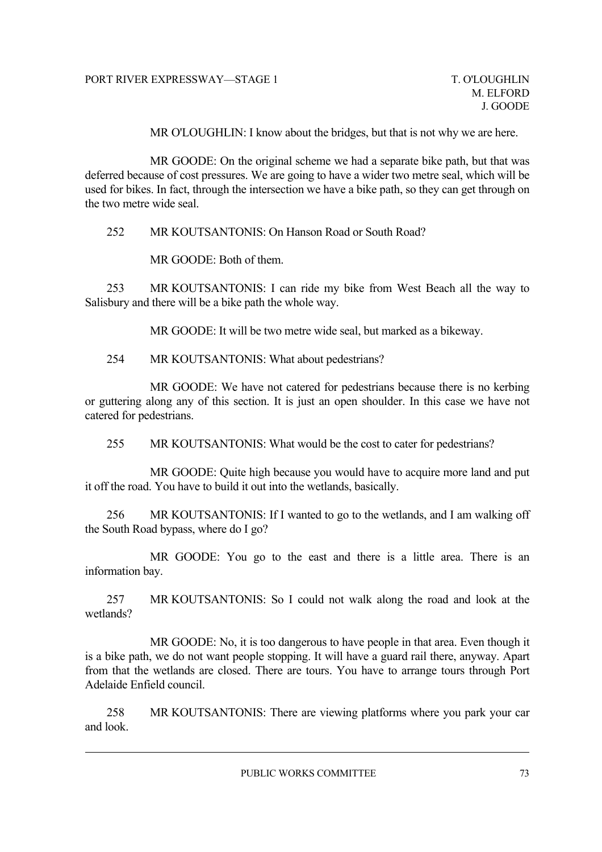MR O'LOUGHLIN: I know about the bridges, but that is not why we are here.

MR GOODE: On the original scheme we had a separate bike path, but that was deferred because of cost pressures. We are going to have a wider two metre seal, which will be used for bikes. In fact, through the intersection we have a bike path, so they can get through on the two metre wide seal.

252 MR KOUTSANTONIS: On Hanson Road or South Road?

MR GOODE: Both of them.

253 MR KOUTSANTONIS: I can ride my bike from West Beach all the way to Salisbury and there will be a bike path the whole way.

MR GOODE: It will be two metre wide seal, but marked as a bikeway.

254 MR KOUTSANTONIS: What about pedestrians?

MR GOODE: We have not catered for pedestrians because there is no kerbing or guttering along any of this section. It is just an open shoulder. In this case we have not catered for pedestrians.

255 MR KOUTSANTONIS: What would be the cost to cater for pedestrians?

MR GOODE: Quite high because you would have to acquire more land and put it off the road. You have to build it out into the wetlands, basically.

256 MR KOUTSANTONIS: If I wanted to go to the wetlands, and I am walking off the South Road bypass, where do I go?

MR GOODE: You go to the east and there is a little area. There is an information bay.

257 MR KOUTSANTONIS: So I could not walk along the road and look at the wetlands?

MR GOODE: No, it is too dangerous to have people in that area. Even though it is a bike path, we do not want people stopping. It will have a guard rail there, anyway. Apart from that the wetlands are closed. There are tours. You have to arrange tours through Port Adelaide Enfield council.

258 MR KOUTSANTONIS: There are viewing platforms where you park your car and look.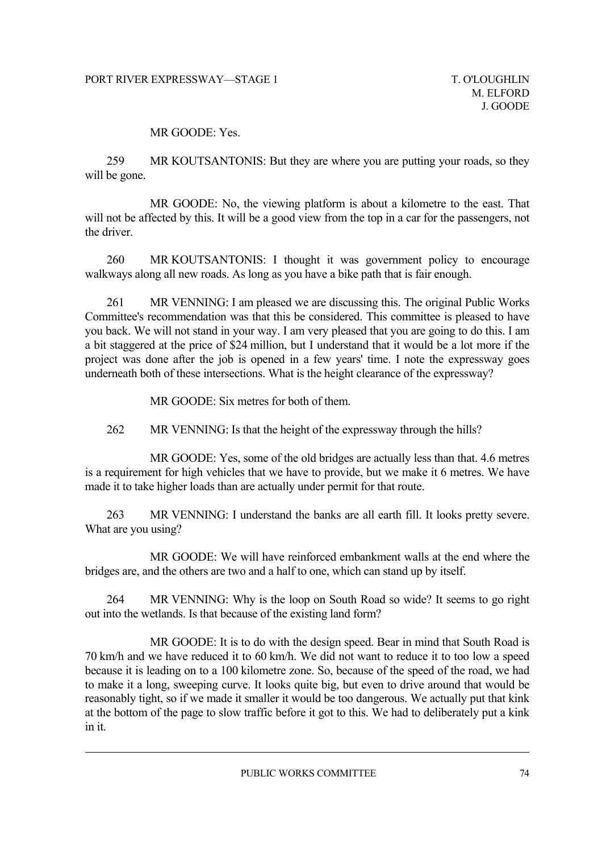### MR GOODE: Yes.

259 MR KOUTSANTONIS: But they are where you are putting your roads, so they will be gone.

MR GOODE: No, the viewing platform is about a kilometre to the east. That will not be affected by this. It will be a good view from the top in a car for the passengers, not the driver.

260 MR KOUTSANTONIS: I thought it was government policy to encourage walkways along all new roads. As long as you have a bike path that is fair enough.

261 MR VENNING: I am pleased we are discussing this. The original Public Works Committee's recommendation was that this be considered. This committee is pleased to have you back. We will not stand in your way. I am very pleased that you are going to do this. I am a bit staggered at the price of \$24 million, but I understand that it would be a lot more if the project was done after the job is opened in a few years' time. I note the expressway goes underneath both of these intersections. What is the height clearance of the expressway?

MR GOODE: Six metres for both of them.

262 MR VENNING: Is that the height of the expressway through the hills?

MR GOODE: Yes, some of the old bridges are actually less than that. 4.6 metres is a requirement for high vehicles that we have to provide, but we make it 6 metres. We have made it to take higher loads than are actually under permit for that route.

263 MR VENNING: I understand the banks are all earth fill. It looks pretty severe. What are you using?

MR GOODE: We will have reinforced embankment walls at the end where the bridges are, and the others are two and a half to one, which can stand up by itself.

264 MR VENNING: Why is the loop on South Road so wide? It seems to go right out into the wetlands. Is that because of the existing land form?

MR GOODE: It is to do with the design speed. Bear in mind that South Road is 70 km/h and we have reduced it to 60 km/h. We did not want to reduce it to too low a speed because it is leading on to a 100 kilometre zone. So, because of the speed of the road, we had to make it a long, sweeping curve. It looks quite big, but even to drive around that would be reasonably tight, so if we made it smaller it would be too dangerous. We actually put that kink at the bottom of the page to slow traffic before it got to this. We had to deliberately put a kink in it.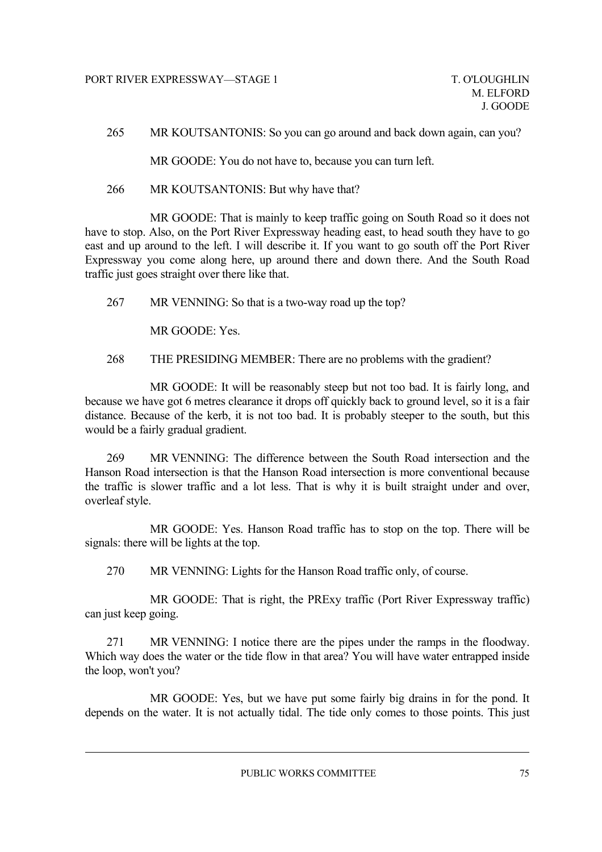265 MR KOUTSANTONIS: So you can go around and back down again, can you?

MR GOODE: You do not have to, because you can turn left.

266 MR KOUTSANTONIS: But why have that?

MR GOODE: That is mainly to keep traffic going on South Road so it does not have to stop. Also, on the Port River Expressway heading east, to head south they have to go east and up around to the left. I will describe it. If you want to go south off the Port River Expressway you come along here, up around there and down there. And the South Road traffic just goes straight over there like that.

267 MR VENNING: So that is a two-way road up the top?

MR GOODE: Yes.

268 THE PRESIDING MEMBER: There are no problems with the gradient?

MR GOODE: It will be reasonably steep but not too bad. It is fairly long, and because we have got 6 metres clearance it drops off quickly back to ground level, so it is a fair distance. Because of the kerb, it is not too bad. It is probably steeper to the south, but this would be a fairly gradual gradient.

269 MR VENNING: The difference between the South Road intersection and the Hanson Road intersection is that the Hanson Road intersection is more conventional because the traffic is slower traffic and a lot less. That is why it is built straight under and over, overleaf style.

MR GOODE: Yes. Hanson Road traffic has to stop on the top. There will be signals: there will be lights at the top.

270 MR VENNING: Lights for the Hanson Road traffic only, of course.

MR GOODE: That is right, the PRExy traffic (Port River Expressway traffic) can just keep going.

271 MR VENNING: I notice there are the pipes under the ramps in the floodway. Which way does the water or the tide flow in that area? You will have water entrapped inside the loop, won't you?

MR GOODE: Yes, but we have put some fairly big drains in for the pond. It depends on the water. It is not actually tidal. The tide only comes to those points. This just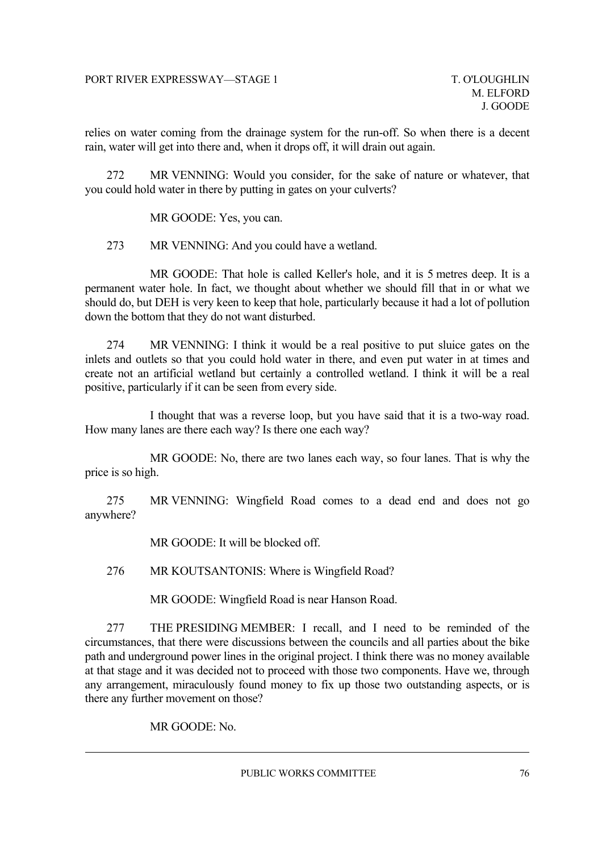relies on water coming from the drainage system for the run-off. So when there is a decent rain, water will get into there and, when it drops off, it will drain out again.

272 MR VENNING: Would you consider, for the sake of nature or whatever, that you could hold water in there by putting in gates on your culverts?

MR GOODE: Yes, you can.

273 MR VENNING: And you could have a wetland.

MR GOODE: That hole is called Keller's hole, and it is 5 metres deep. It is a permanent water hole. In fact, we thought about whether we should fill that in or what we should do, but DEH is very keen to keep that hole, particularly because it had a lot of pollution down the bottom that they do not want disturbed.

274 MR VENNING: I think it would be a real positive to put sluice gates on the inlets and outlets so that you could hold water in there, and even put water in at times and create not an artificial wetland but certainly a controlled wetland. I think it will be a real positive, particularly if it can be seen from every side.

I thought that was a reverse loop, but you have said that it is a two-way road. How many lanes are there each way? Is there one each way?

MR GOODE: No, there are two lanes each way, so four lanes. That is why the price is so high.

275 MR VENNING: Wingfield Road comes to a dead end and does not go anywhere?

MR GOODE: It will be blocked off.

276 MR KOUTSANTONIS: Where is Wingfield Road?

MR GOODE: Wingfield Road is near Hanson Road.

277 THE PRESIDING MEMBER: I recall, and I need to be reminded of the circumstances, that there were discussions between the councils and all parties about the bike path and underground power lines in the original project. I think there was no money available at that stage and it was decided not to proceed with those two components. Have we, through any arrangement, miraculously found money to fix up those two outstanding aspects, or is there any further movement on those?

MR GOODE: No.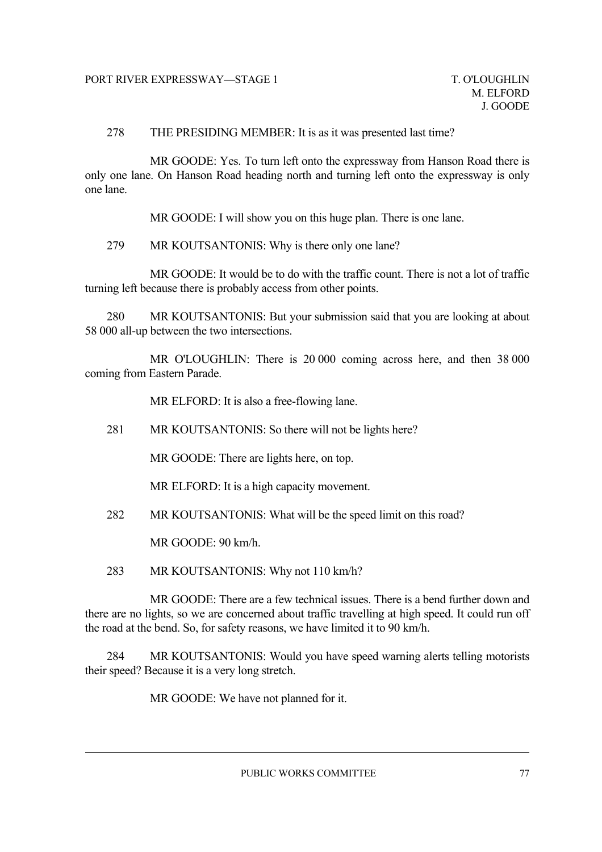#### 278 THE PRESIDING MEMBER: It is as it was presented last time?

MR GOODE: Yes. To turn left onto the expressway from Hanson Road there is only one lane. On Hanson Road heading north and turning left onto the expressway is only one lane.

MR GOODE: I will show you on this huge plan. There is one lane.

279 MR KOUTSANTONIS: Why is there only one lane?

MR GOODE: It would be to do with the traffic count. There is not a lot of traffic turning left because there is probably access from other points.

280 MR KOUTSANTONIS: But your submission said that you are looking at about 58 000 all-up between the two intersections.

MR O'LOUGHLIN: There is 20 000 coming across here, and then 38 000 coming from Eastern Parade.

MR ELFORD: It is also a free-flowing lane.

281 MR KOUTSANTONIS: So there will not be lights here?

MR GOODE: There are lights here, on top.

MR ELFORD: It is a high capacity movement.

282 MR KOUTSANTONIS: What will be the speed limit on this road?

MR GOODE: 90 km/h.

283 MR KOUTSANTONIS: Why not 110 km/h?

MR GOODE: There are a few technical issues. There is a bend further down and there are no lights, so we are concerned about traffic travelling at high speed. It could run off the road at the bend. So, for safety reasons, we have limited it to 90 km/h.

284 MR KOUTSANTONIS: Would you have speed warning alerts telling motorists their speed? Because it is a very long stretch.

MR GOODE: We have not planned for it.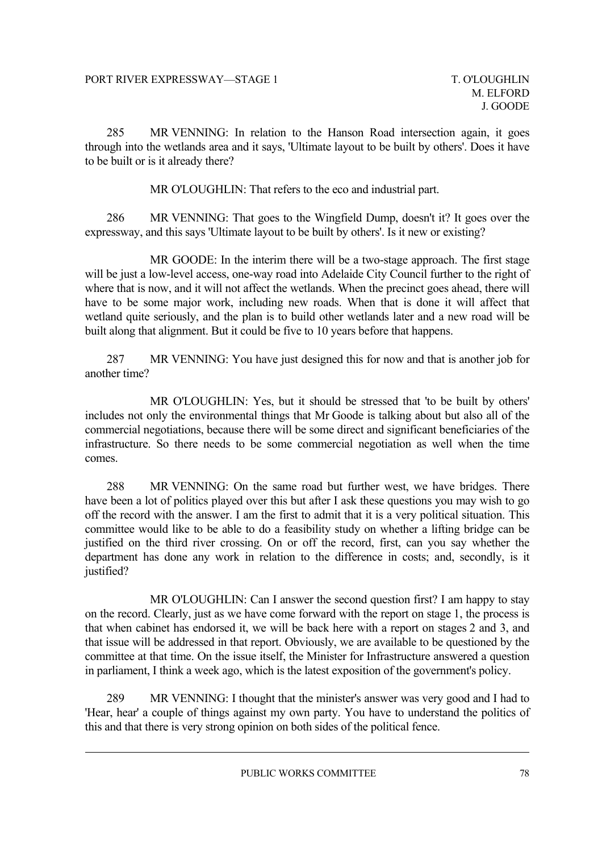285 MR VENNING: In relation to the Hanson Road intersection again, it goes through into the wetlands area and it says, 'Ultimate layout to be built by others'. Does it have to be built or is it already there?

MR O'LOUGHLIN: That refers to the eco and industrial part.

286 MR VENNING: That goes to the Wingfield Dump, doesn't it? It goes over the expressway, and this says 'Ultimate layout to be built by others'. Is it new or existing?

MR GOODE: In the interim there will be a two-stage approach. The first stage will be just a low-level access, one-way road into Adelaide City Council further to the right of where that is now, and it will not affect the wetlands. When the precinct goes ahead, there will have to be some major work, including new roads. When that is done it will affect that wetland quite seriously, and the plan is to build other wetlands later and a new road will be built along that alignment. But it could be five to 10 years before that happens.

287 MR VENNING: You have just designed this for now and that is another job for another time?

MR O'LOUGHLIN: Yes, but it should be stressed that 'to be built by others' includes not only the environmental things that Mr Goode is talking about but also all of the commercial negotiations, because there will be some direct and significant beneficiaries of the infrastructure. So there needs to be some commercial negotiation as well when the time comes.

288 MR VENNING: On the same road but further west, we have bridges. There have been a lot of politics played over this but after I ask these questions you may wish to go off the record with the answer. I am the first to admit that it is a very political situation. This committee would like to be able to do a feasibility study on whether a lifting bridge can be justified on the third river crossing. On or off the record, first, can you say whether the department has done any work in relation to the difference in costs; and, secondly, is it justified?

MR O'LOUGHLIN: Can I answer the second question first? I am happy to stay on the record. Clearly, just as we have come forward with the report on stage 1, the process is that when cabinet has endorsed it, we will be back here with a report on stages 2 and 3, and that issue will be addressed in that report. Obviously, we are available to be questioned by the committee at that time. On the issue itself, the Minister for Infrastructure answered a question in parliament, I think a week ago, which is the latest exposition of the government's policy.

289 MR VENNING: I thought that the minister's answer was very good and I had to 'Hear, hear' a couple of things against my own party. You have to understand the politics of this and that there is very strong opinion on both sides of the political fence.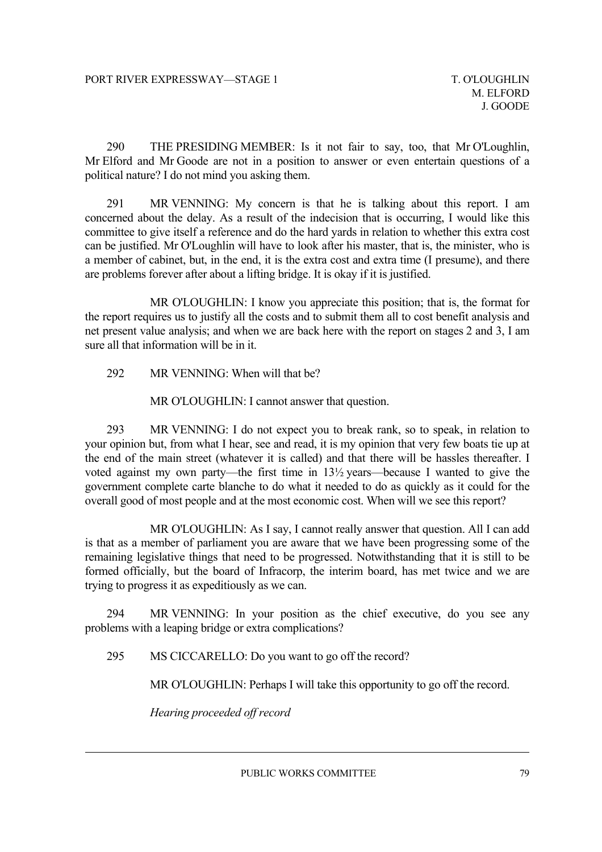290 THE PRESIDING MEMBER: Is it not fair to say, too, that Mr O'Loughlin, Mr Elford and Mr Goode are not in a position to answer or even entertain questions of a political nature? I do not mind you asking them.

291 MR VENNING: My concern is that he is talking about this report. I am concerned about the delay. As a result of the indecision that is occurring, I would like this committee to give itself a reference and do the hard yards in relation to whether this extra cost can be justified. Mr O'Loughlin will have to look after his master, that is, the minister, who is a member of cabinet, but, in the end, it is the extra cost and extra time (I presume), and there are problems forever after about a lifting bridge. It is okay if it is justified.

MR O'LOUGHLIN: I know you appreciate this position; that is, the format for the report requires us to justify all the costs and to submit them all to cost benefit analysis and net present value analysis; and when we are back here with the report on stages 2 and 3, I am sure all that information will be in it.

292 MR VENNING: When will that be?

MR O'LOUGHLIN: I cannot answer that question.

293 MR VENNING: I do not expect you to break rank, so to speak, in relation to your opinion but, from what I hear, see and read, it is my opinion that very few boats tie up at the end of the main street (whatever it is called) and that there will be hassles thereafter. I voted against my own party—the first time in 13½ years—because I wanted to give the government complete carte blanche to do what it needed to do as quickly as it could for the overall good of most people and at the most economic cost. When will we see this report?

MR O'LOUGHLIN: As I say, I cannot really answer that question. All I can add is that as a member of parliament you are aware that we have been progressing some of the remaining legislative things that need to be progressed. Notwithstanding that it is still to be formed officially, but the board of Infracorp, the interim board, has met twice and we are trying to progress it as expeditiously as we can.

294 MR VENNING: In your position as the chief executive, do you see any problems with a leaping bridge or extra complications?

295 MS CICCARELLO: Do you want to go off the record?

MR O'LOUGHLIN: Perhaps I will take this opportunity to go off the record.

*Hearing proceeded off record*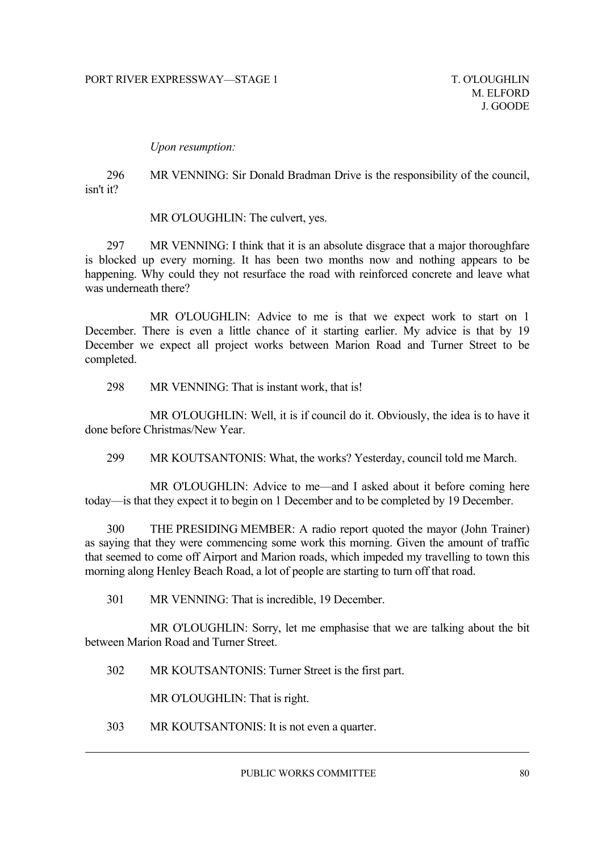*Upon resumption:*

296 MR VENNING: Sir Donald Bradman Drive is the responsibility of the council, isn't it?

MR O'LOUGHLIN: The culvert, yes.

297 MR VENNING: I think that it is an absolute disgrace that a major thoroughfare is blocked up every morning. It has been two months now and nothing appears to be happening. Why could they not resurface the road with reinforced concrete and leave what was underneath there?

MR O'LOUGHLIN: Advice to me is that we expect work to start on 1 December. There is even a little chance of it starting earlier. My advice is that by 19 December we expect all project works between Marion Road and Turner Street to be completed.

298 MR VENNING: That is instant work, that is!

MR O'LOUGHLIN: Well, it is if council do it. Obviously, the idea is to have it done before Christmas/New Year.

299 MR KOUTSANTONIS: What, the works? Yesterday, council told me March.

MR O'LOUGHLIN: Advice to me—and I asked about it before coming here today—is that they expect it to begin on 1 December and to be completed by 19 December.

300 THE PRESIDING MEMBER: A radio report quoted the mayor (John Trainer) as saying that they were commencing some work this morning. Given the amount of traffic that seemed to come off Airport and Marion roads, which impeded my travelling to town this morning along Henley Beach Road, a lot of people are starting to turn off that road.

301 MR VENNING: That is incredible, 19 December.

MR O'LOUGHLIN: Sorry, let me emphasise that we are talking about the bit between Marion Road and Turner Street.

302 MR KOUTSANTONIS: Turner Street is the first part.

MR O'LOUGHLIN: That is right.

303 MR KOUTSANTONIS: It is not even a quarter.